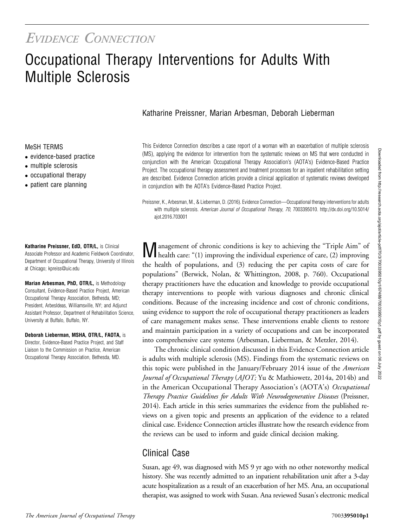# EVIDENCE CONNECTION

# Occupational Therapy Interventions for Adults With Multiple Sclerosis

### Katharine Preissner, Marian Arbesman, Deborah Lieberman

#### MeSH TERMS

- evidence-based practice
- multiple sclerosis
- occupational therapy
- patient care planning

Katharine Preissner, EdD, OTR/L, is Clinical Associate Professor and Academic Fieldwork Coordinator, Department of Occupational Therapy, University of Illinois at Chicago; [kpreiss@uic.edu](mailto:kpreiss@uic.edu)

Marian Arbesman, PhD, OTR/L, is Methodology Consultant, Evidence-Based Practice Project, American Occupational Therapy Association, Bethesda, MD; President, ArbesIdeas, Williamsville, NY; and Adjunct Assistant Professor, Department of Rehabilitation Science, University at Buffalo, Buffalo, NY.

Deborah Lieberman, MSHA, OTR/L, FAOTA, is Director, Evidence-Based Practice Project, and Staff Liaison to the Commission on Practice, American Occupational Therapy Association, Bethesda, MD.

This Evidence Connection describes a case report of a woman with an exacerbation of multiple sclerosis (MS), applying the evidence for intervention from the systematic reviews on MS that were conducted in conjunction with the American Occupational Therapy Association's (AOTA's) Evidence-Based Practice Project. The occupational therapy assessment and treatment processes for an inpatient rehabilitation setting are described. Evidence Connection articles provide a clinical application of systematic reviews developed in conjunction with the AOTA's Evidence-Based Practice Project.

Preissner, K., Arbesman, M., & Lieberman, D. (2016). Evidence Connection—Occupational therapy interventions for adults with multiple sclerosis. American Journal of Occupational Therapy, 70, 7003395010. http://dx.doi.org/10.5014/ ajot.2016.703001

Management of chronic conditions is key to achieving the "Triple Aim" of health care: "(1) improving the individual experience of care, (2) improving the health of populations, and (3) reducing the per capita costs of care for populations" (Berwick, Nolan, & Whittington, 2008, p. 760). Occupational therapy practitioners have the education and knowledge to provide occupational therapy interventions to people with various diagnoses and chronic clinical conditions. Because of the increasing incidence and cost of chronic conditions, using evidence to support the role of occupational therapy practitioners as leaders of care management makes sense. These interventions enable clients to restore and maintain participation in a variety of occupations and can be incorporated into comprehensive care systems (Arbesman, Lieberman, & Metzler, 2014).

The chronic clinical condition discussed in this Evidence Connection article is adults with multiple sclerosis (MS). Findings from the systematic reviews on this topic were published in the January/February 2014 issue of the American Journal of Occupational Therapy (AJOT; Yu & Mathiowetz, 2014a, 2014b) and in the American Occupational Therapy Association's (AOTA's) Occupational Therapy Practice Guidelines for Adults With Neurodegenerative Diseases (Preissner, 2014). Each article in this series summarizes the evidence from the published reviews on a given topic and presents an application of the evidence to a related clinical case. Evidence Connection articles illustrate how the research evidence from the reviews can be used to inform and guide clinical decision making.

# Clinical Case

Susan, age 49, was diagnosed with MS 9 yr ago with no other noteworthy medical history. She was recently admitted to an inpatient rehabilitation unit after a 3-day acute hospitalization as a result of an exacerbation of her MS. Ana, an occupational therapist, was assigned to work with Susan. Ana reviewed Susan's electronic medical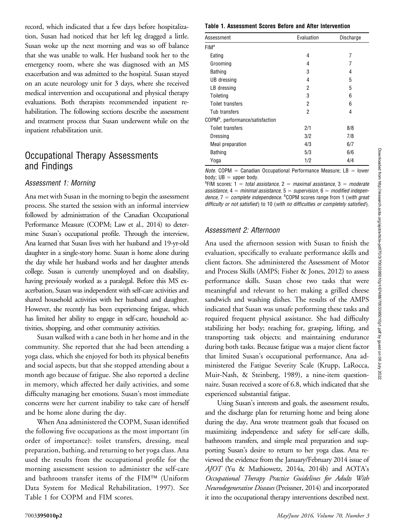record, which indicated that a few days before hospitalization, Susan had noticed that her left leg dragged a little. Susan woke up the next morning and was so off balance that she was unable to walk. Her husband took her to the emergency room, where she was diagnosed with an MS exacerbation and was admitted to the hospital. Susan stayed on an acute neurology unit for 3 days, where she received medical intervention and occupational and physical therapy evaluations. Both therapists recommended inpatient rehabilitation. The following sections describe the assessment and treatment process that Susan underwent while on the inpatient rehabilitation unit.

## Occupational Therapy Assessments and Findings

#### Assessment 1: Morning

Ana met with Susan in the morning to begin the assessment process. She started the session with an informal interview followed by administration of the Canadian Occupational Performance Measure (COPM; Law et al., 2014) to determine Susan's occupational profile. Through the interview, Ana learned that Susan lives with her husband and 19-yr-old daughter in a single-story home. Susan is home alone during the day while her husband works and her daughter attends college. Susan is currently unemployed and on disability, having previously worked as a paralegal. Before this MS exacerbation, Susan was independent with self-care activities and shared household activities with her husband and daughter. However, she recently has been experiencing fatigue, which has limited her ability to engage in self-care, household activities, shopping, and other community activities.

Susan walked with a cane both in her home and in the community. She reported that she had been attending a yoga class, which she enjoyed for both its physical benefits and social aspects, but that she stopped attending about a month ago because of fatigue. She also reported a decline in memory, which affected her daily activities, and some difficulty managing her emotions. Susan's most immediate concerns were her current inability to take care of herself and be home alone during the day.

When Ana administered the COPM, Susan identified the following five occupations as the most important (in order of importance): toilet transfers, dressing, meal preparation, bathing, and returning to her yoga class. Ana used the results from the occupational profile for the morning assessment session to administer the self-care and bathroom transfer items of the FIM<sup>TM</sup> (Uniform Data System for Medical Rehabilitation, 1997). See Table 1 for COPM and FIM scores.

#### Table 1. Assessment Scores Before and After Intervention

| Assessment                                   | Evaluation | Discharge |
|----------------------------------------------|------------|-----------|
| FIM <sup>a</sup>                             |            |           |
| Eating                                       | 4          | 7         |
| Grooming                                     | 4          | 7         |
| <b>Bathing</b>                               | 3          | 4         |
| UB dressing                                  | 4          | 5         |
| LB dressing                                  | 2          | 5         |
| Toileting                                    | 3          | 6         |
| Toilet transfers                             | 2          | 6         |
| Tub transfers                                | 2          | 4         |
| COPM <sup>b</sup> , performance/satisfaction |            |           |
| Toilet transfers                             | 2/1        | 8/8       |
| Dressing                                     | 3/2        | 7/8       |
| Meal preparation                             | 4/3        | 6/7       |
| <b>Bathing</b>                               | 5/3        | 6/6       |
| Yoga                                         | 1/2        | 4/4       |

*Note.* COPM = Canadian Occupational Performance Measure; LB = lower body;  $UB = upper body$ .

<sup>a</sup>FIM scores: 1 = total assistance, 2 = maximal assistance, 3 = moderate assistance,  $4 =$  minimal assistance,  $5 =$  supervision,  $6 =$  modified independence,  $7 =$  complete independence.  $^{b}$ COPM scores range from 1 (with great difficulty or not satisfied) to 10 (with no difficulties or completely satisfied).

#### Assessment 2: Afternoon

Ana used the afternoon session with Susan to finish the evaluation, specifically to evaluate performance skills and client factors. She administered the Assessment of Motor and Process Skills (AMPS; Fisher & Jones, 2012) to assess performance skills. Susan chose two tasks that were meaningful and relevant to her: making a grilled cheese sandwich and washing dishes. The results of the AMPS indicated that Susan was unsafe performing these tasks and required frequent physical assistance. She had difficulty stabilizing her body; reaching for, grasping, lifting, and transporting task objects; and maintaining endurance during both tasks. Because fatigue was a major client factor that limited Susan's occupational performance, Ana administered the Fatigue Severity Scale (Krupp, LaRocca, Muir-Nash, & Steinberg, 1989), a nine-item questionnaire. Susan received a score of 6.8, which indicated that she experienced substantial fatigue.

Using Susan's interests and goals, the assessment results, and the discharge plan for returning home and being alone during the day, Ana wrote treatment goals that focused on maximizing independence and safety for self-care skills, bathroom transfers, and simple meal preparation and supporting Susan's desire to return to her yoga class. Ana reviewed the evidence from the January/February 2014 issue of AJOT (Yu & Mathiowetz, 2014a, 2014b) and AOTA's Occupational Therapy Practice Guidelines for Adults With Neurodegenerative Diseases (Preissner, 2014) and incorporated it into the occupational therapy interventions described next.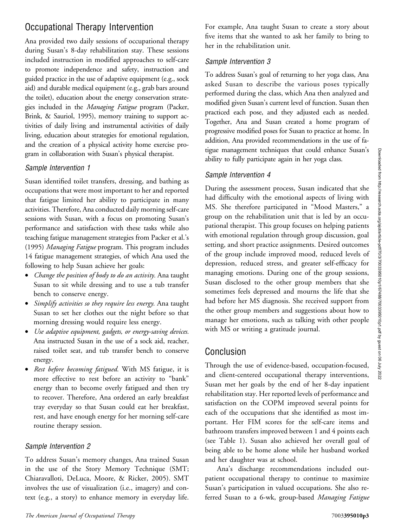# Occupational Therapy Intervention

Ana provided two daily sessions of occupational therapy during Susan's 8-day rehabilitation stay. These sessions included instruction in modified approaches to self-care to promote independence and safety, instruction and guided practice in the use of adaptive equipment (e.g., sock aid) and durable medical equipment (e.g., grab bars around the toilet), education about the energy conservation strategies included in the Managing Fatigue program (Packer, Brink, & Sauriol, 1995), memory training to support activities of daily living and instrumental activities of daily living, education about strategies for emotional regulation, and the creation of a physical activity home exercise program in collaboration with Susan's physical therapist.

#### Sample Intervention 1

Susan identified toilet transfers, dressing, and bathing as occupations that were most important to her and reported that fatigue limited her ability to participate in many activities. Therefore, Ana conducted daily morning self-care sessions with Susan, with a focus on promoting Susan's performance and satisfaction with these tasks while also teaching fatigue management strategies from Packer et al.'s (1995) Managing Fatigue program. This program includes 14 fatigue management strategies, of which Ana used the following to help Susan achieve her goals:

- Change the position of body to do an activity. Ana taught Susan to sit while dressing and to use a tub transfer bench to conserve energy.
- Simplify activities so they require less energy. Ana taught Susan to set her clothes out the night before so that morning dressing would require less energy.
- Use adaptive equipment, gadgets, or energy-saving devices. Ana instructed Susan in the use of a sock aid, reacher, raised toilet seat, and tub transfer bench to conserve energy.
- Rest before becoming fatigued. With MS fatigue, it is more effective to rest before an activity to "bank" energy than to become overly fatigued and then try to recover. Therefore, Ana ordered an early breakfast tray everyday so that Susan could eat her breakfast, rest, and have enough energy for her morning self-care routine therapy session.

#### Sample Intervention 2

To address Susan's memory changes, Ana trained Susan in the use of the Story Memory Technique (SMT; Chiaravalloti, DeLuca, Moore, & Ricker, 2005). SMT involves the use of visualization (i.e., imagery) and context (e.g., a story) to enhance memory in everyday life. For example, Ana taught Susan to create a story about five items that she wanted to ask her family to bring to her in the rehabilitation unit.

#### Sample Intervention 3

To address Susan's goal of returning to her yoga class, Ana asked Susan to describe the various poses typically performed during the class, which Ana then analyzed and modified given Susan's current level of function. Susan then practiced each pose, and they adjusted each as needed. Together, Ana and Susan created a home program of progressive modified poses for Susan to practice at home. In addition, Ana provided recommendations in the use of fatigue management techniques that could enhance Susan's ability to fully participate again in her yoga class.

#### Sample Intervention 4

During the assessment process, Susan indicated that she had difficulty with the emotional aspects of living with MS. She therefore participated in "Mood Masters," a group on the rehabilitation unit that is led by an occupational therapist. This group focuses on helping patients with emotional regulation through group discussion, goal setting, and short practice assignments. Desired outcomes of the group include improved mood, reduced levels of depression, reduced stress, and greater self-efficacy for managing emotions. During one of the group sessions, Susan disclosed to the other group members that she sometimes feels depressed and mourns the life that she had before her MS diagnosis. She received support from the other group members and suggestions about how to manage her emotions, such as talking with other people with MS or writing a gratitude journal.

## Conclusion

Through the use of evidence-based, occupation-focused, and client-centered occupational therapy interventions, Susan met her goals by the end of her 8-day inpatient rehabilitation stay. Her reported levels of performance and satisfaction on the COPM improved several points for each of the occupations that she identified as most important. Her FIM scores for the self-care items and bathroom transfers improved between 1 and 4 points each (see Table 1). Susan also achieved her overall goal of being able to be home alone while her husband worked and her daughter was at school.

Ana's discharge recommendations included outpatient occupational therapy to continue to maximize Susan's participation in valued occupations. She also referred Susan to a 6-wk, group-based Managing Fatigue